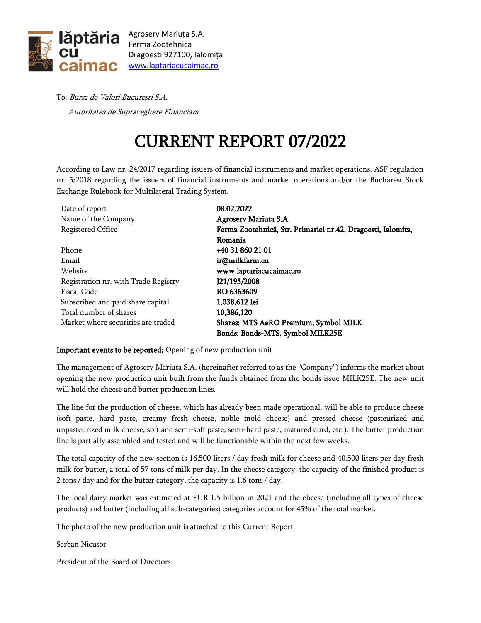

Agroserv Mariuța S.A. Ferma Zootehnica Dragoești 927100, Ialomița [www.laptariacucaimac.ro](http://www.laptariacucaimac.ro/)

To: Bursa de Valori București S.A. Autoritatea de Supraveghere Financiară

## CURRENT REPORT 07/2022

According to Law nr. 24/2017 regarding issuers of financial instruments and market operations, ASF regulation nr. 5/2018 regarding the issuers of financial instruments and market operations and/or the Bucharest Stock Exchange Rulebook for Multilateral Trading System.

| Date of report                       | 08.02.2022                                                   |
|--------------------------------------|--------------------------------------------------------------|
| Name of the Company                  | Agroserv Mariuta S.A.                                        |
| Registered Office                    | Ferma Zootehnică, Str. Primariei nr.42, Dragoesti, Ialomita, |
|                                      | Romania                                                      |
| Phone                                | +40 31 860 21 01                                             |
| Email                                | ir@milkfarm.eu                                               |
| Website                              | www.laptariacucaimac.ro                                      |
| Registration nr. with Trade Registry | J21/195/2008                                                 |
| Fiscal Code                          | RO 6363609                                                   |
| Subscribed and paid share capital    | 1.038.612 lei                                                |
| Total number of shares               | 10.386,120                                                   |
| Market where securities are traded   | Shares: MTS AeRO Premium, Symbol MILK                        |
|                                      | Bonds: Bonds-MTS, Symbol MILK25E                             |

## Important events to be reported: Opening of new production unit

The management of Agroserv Mariuta S.A. (hereinafter referred to as the "Company") informs the market about opening the new production unit built from the funds obtained from the bonds issue MILK25E. The new unit will hold the cheese and butter production lines.

The line for the production of cheese, which has already been made operational, will be able to produce cheese (soft paste, hard paste, creamy fresh cheese, noble mold cheese) and pressed cheese (pasteurized and unpasteurized milk cheese, soft and semi-soft paste, semi-hard paste, matured curd, etc.). The butter production line is partially assembled and tested and will be functionable within the next few weeks.

The total capacity of the new section is 16,500 liters / day fresh milk for cheese and 40,500 liters per day fresh milk for butter, a total of 57 tons of milk per day. In the cheese category, the capacity of the finished product is 2 tons / day and for the butter category, the capacity is 1.6 tons / day.

The local dairy market was estimated at EUR 1.5 billion in 2021 and the cheese (including all types of cheese products) and butter (including all sub-categories) categories account for 45% of the total market.

The photo of the new production unit is attached to this Current Report.

Serban Nicusor

President of the Board of Directors